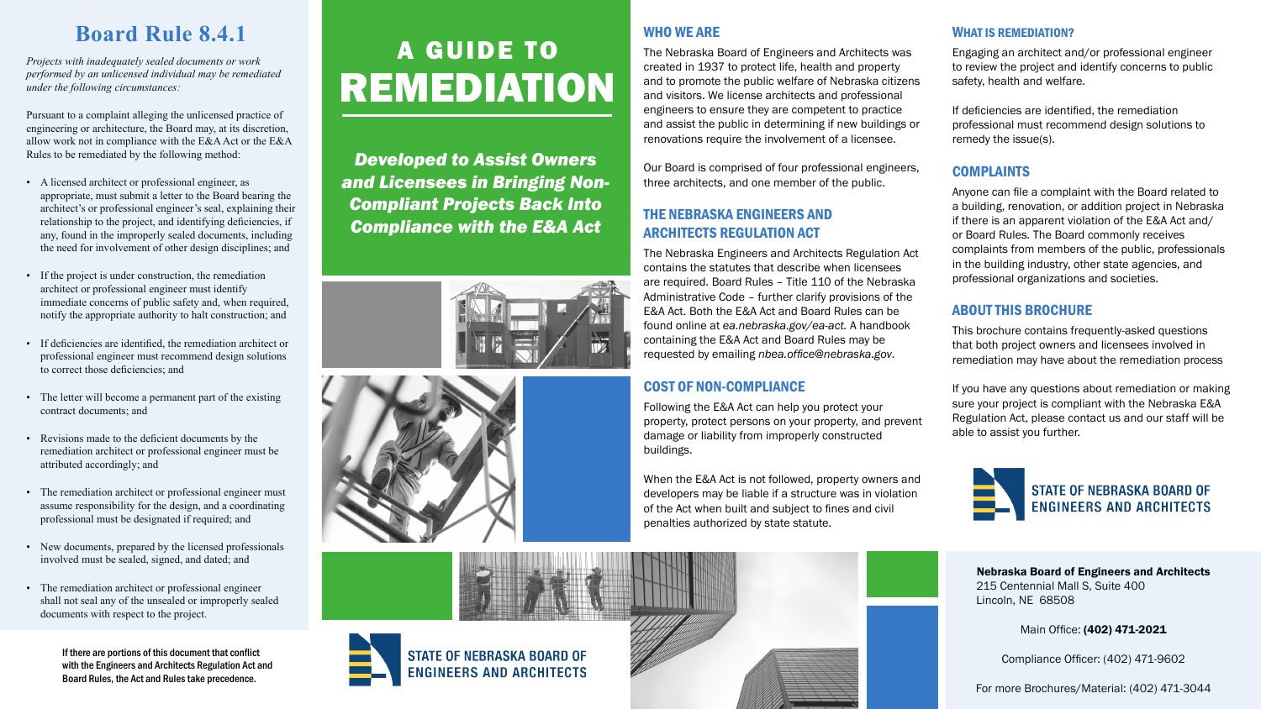# WHO WE ARE

The Nebraska Board of Engineers and Architects was created in 1937 to protect life, health and property and to promote the public welfare of Nebraska citizens and visitors. We license architects and professional engineers to ensure they are competent to practice and assist the public in determining if new buildings or renovations require the involvement of a licensee.

Our Board is comprised of four professional engineers, three architects, and one member of the public.

# THE NEBRASKA ENGINEERS AND ARCHITECTS REGULATION ACT

The Nebraska Engineers and Architects Regulation Act contains the statutes that describe when licensees are required. Board Rules – Title 110 of the Nebraska Administrative Code – further clarify provisions of the E&A Act. Both the E&A Act and Board Rules can be found online at *ea.nebraska.gov/ea-act.* A handbook containing the E&A Act and Board Rules may be requested by emailing *nbea.office@nebraska.gov*.

# COST OF NON-COMPLIANCE

Following the E&A Act can help you protect your property, protect persons on your property, and prevent damage or liability from improperly constructed buildings.

When the E&A Act is not followed, property owners and developers may be liable if a structure was in violation of the Act when built and subject to fines and civil penalties authorized by state statute.



#### WHAT IS REMEDIATION?

Engaging an architect and/or professional engineer to review the project and identify concerns to public safety, health and welfare.

If deficiencies are identified, the remediation professional must recommend design solutions to remedy the issue(s).

## COMPLAINTS

Anyone can file a complaint with the Board related to a building, renovation, or addition project in Nebraska if there is an apparent violation of the E&A Act and/ or Board Rules. The Board commonly receives complaints from members of the public, professionals in the building industry, other state agencies, and professional organizations and societies.

# ABOUT THIS BROCHURE

This brochure contains frequently-asked questions that both project owners and licensees involved in remediation may have about the remediation process

If you have any questions about remediation or making sure your project is compliant with the Nebraska E&A Regulation Act, please contact us and our staff will be able to assist you further.



Nebraska Board of Engineers and Architects 215 Centennial Mall S, Suite 400 Lincoln, NE 68508

Main Office: (402) 471-2021

Compliance Officer: (402) 471-9602

For more Brochures/Material: (402) 471-3044

# A GUIDE TO REMEDIATION

*Developed to Assist Owners and Licensees in Bringing Non-Compliant Projects Back Into Compliance with the E&A Act*





# **Board Rule 8.4.1**

*Projects with inadequately sealed documents or work performed by an unlicensed individual may be remediated under the following circumstances:*

Pursuant to a complaint alleging the unlicensed practice of engineering or architecture, the Board may, at its discretion, allow work not in compliance with the E&A Act or the E&A Rules to be remediated by the following method:

- A licensed architect or professional engineer, as appropriate, must submit a letter to the Board bearing the architect's or professional engineer's seal, explaining their relationship to the project, and identifying deficiencies, if any, found in the improperly sealed documents, including the need for involvement of other design disciplines; and
- If the project is under construction, the remediation architect or professional engineer must identify immediate concerns of public safety and, when required, notify the appropriate authority to halt construction; and
- If deficiencies are identified, the remediation architect or professional engineer must recommend design solutions to correct those deficiencies; and
- The letter will become a permanent part of the existing contract documents; and
- Revisions made to the deficient documents by the remediation architect or professional engineer must be attributed accordingly; and
- The remediation architect or professional engineer must assume responsibility for the design, and a coordinating professional must be designated if required; and
- New documents, prepared by the licensed professionals involved must be sealed, signed, and dated; and
- The remediation architect or professional engineer shall not seal any of the unsealed or improperly sealed documents with respect to the project.

If there are portions of this document that conflict with the Engineers and Architects Regulation Act and Board Rules, the Act and Rules take precedence.